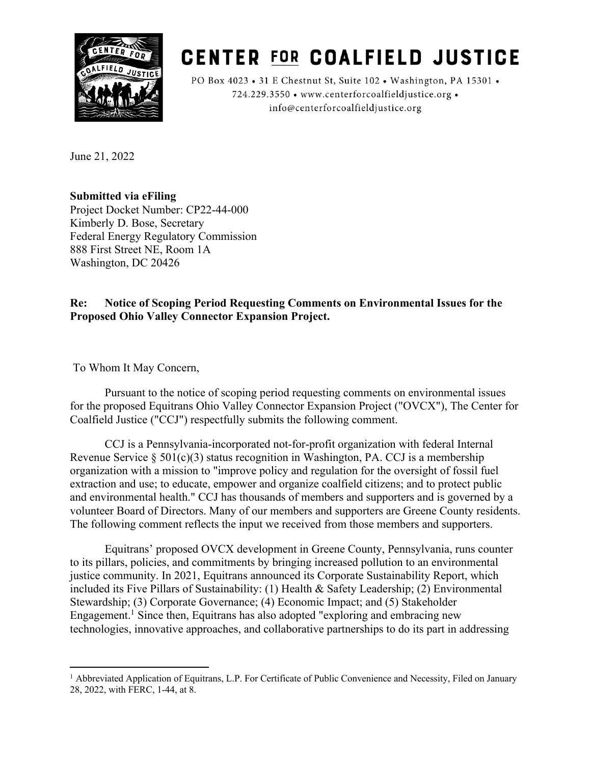

## **CENTER FOR COALFIELD JUSTICE**

PO Box 4023 . 31 E Chestnut St, Suite 102 . Washington, PA 15301 . 724.229.3550 • www.centerforcoalfieldjustice.org • info@centerforcoalfieldjustice.org

June 21, 2022

**Submitted via eFiling**

Project Docket Number: CP22-44-000 Kimberly D. Bose, Secretary Federal Energy Regulatory Commission 888 First Street NE, Room 1A Washington, DC 20426

## **Re: Notice of Scoping Period Requesting Comments on Environmental Issues for the Proposed Ohio Valley Connector Expansion Project.**

To Whom It May Concern,

Pursuant to the notice of scoping period requesting comments on environmental issues for the proposed Equitrans Ohio Valley Connector Expansion Project ("OVCX"), The Center for Coalfield Justice ("CCJ") respectfully submits the following comment.

CCJ is a Pennsylvania-incorporated not-for-profit organization with federal Internal Revenue Service  $\S 501(c)(3)$  status recognition in Washington, PA. CCJ is a membership organization with a mission to "improve policy and regulation for the oversight of fossil fuel extraction and use; to educate, empower and organize coalfield citizens; and to protect public and environmental health." CCJ has thousands of members and supporters and is governed by a volunteer Board of Directors. Many of our members and supporters are Greene County residents. The following comment reflects the input we received from those members and supporters.

Equitrans' proposed OVCX development in Greene County, Pennsylvania, runs counter to its pillars, policies, and commitments by bringing increased pollution to an environmental justice community. In 2021, Equitrans announced its Corporate Sustainability Report, which included its Five Pillars of Sustainability: (1) Health & Safety Leadership; (2) Environmental Stewardship; (3) Corporate Governance; (4) Economic Impact; and (5) Stakeholder Engagement.<sup>1</sup> Since then, Equitrans has also adopted "exploring and embracing new technologies, innovative approaches, and collaborative partnerships to do its part in addressing

<sup>&</sup>lt;sup>1</sup> Abbreviated Application of Equitrans, L.P. For Certificate of Public Convenience and Necessity, Filed on January 28, 2022, with FERC, 1-44, at 8.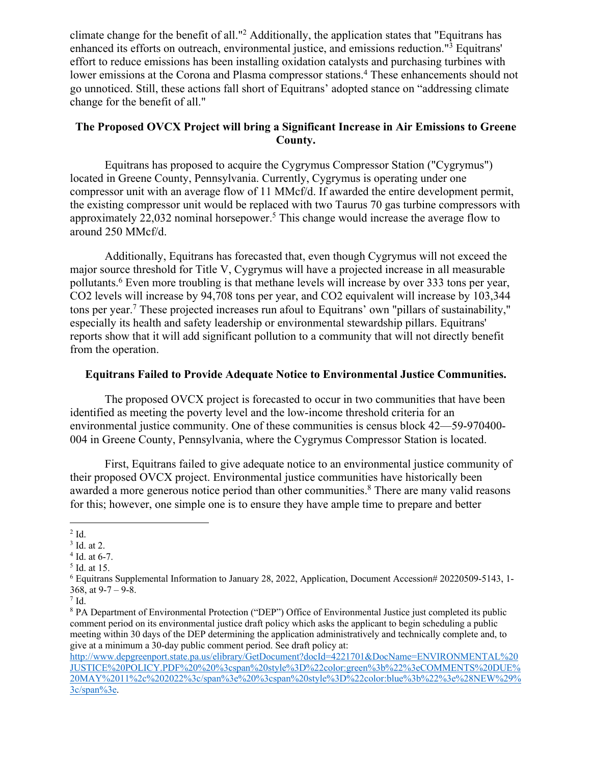climate change for the benefit of all."2 Additionally, the application states that "Equitrans has enhanced its efforts on outreach, environmental justice, and emissions reduction.<sup>"3</sup> Equitrans' effort to reduce emissions has been installing oxidation catalysts and purchasing turbines with lower emissions at the Corona and Plasma compressor stations.<sup>4</sup> These enhancements should not go unnoticed. Still, these actions fall short of Equitrans' adopted stance on "addressing climate change for the benefit of all."

## **The Proposed OVCX Project will bring a Significant Increase in Air Emissions to Greene County.**

Equitrans has proposed to acquire the Cygrymus Compressor Station ("Cygrymus") located in Greene County, Pennsylvania. Currently, Cygrymus is operating under one compressor unit with an average flow of 11 MMcf/d. If awarded the entire development permit, the existing compressor unit would be replaced with two Taurus 70 gas turbine compressors with approximately 22,032 nominal horsepower.<sup>5</sup> This change would increase the average flow to around 250 MMcf/d.

Additionally, Equitrans has forecasted that, even though Cygrymus will not exceed the major source threshold for Title V, Cygrymus will have a projected increase in all measurable pollutants.6 Even more troubling is that methane levels will increase by over 333 tons per year, CO2 levels will increase by 94,708 tons per year, and CO2 equivalent will increase by 103,344 tons per year.7 These projected increases run afoul to Equitrans' own "pillars of sustainability," especially its health and safety leadership or environmental stewardship pillars. Equitrans' reports show that it will add significant pollution to a community that will not directly benefit from the operation.

## **Equitrans Failed to Provide Adequate Notice to Environmental Justice Communities.**

The proposed OVCX project is forecasted to occur in two communities that have been identified as meeting the poverty level and the low-income threshold criteria for an environmental justice community. One of these communities is census block 42—59-970400- 004 in Greene County, Pennsylvania, where the Cygrymus Compressor Station is located.

First, Equitrans failed to give adequate notice to an environmental justice community of their proposed OVCX project. Environmental justice communities have historically been awarded a more generous notice period than other communities.<sup>8</sup> There are many valid reasons for this; however, one simple one is to ensure they have ample time to prepare and better

<sup>2</sup> Id.

<sup>3</sup> Id. at 2.

<sup>4</sup> Id. at 6-7.

<sup>5</sup> Id. at 15.

<sup>6</sup> Equitrans Supplemental Information to January 28, 2022, Application, Document Accession# 20220509-5143, 1- 368, at  $9-7 - 9-8$ .

 $<sup>7</sup>$  Id.</sup>

<sup>8</sup> PA Department of Environmental Protection ("DEP") Office of Environmental Justice just completed its public comment period on its environmental justice draft policy which asks the applicant to begin scheduling a public meeting within 30 days of the DEP determining the application administratively and technically complete and, to give at a minimum a 30-day public comment period. See draft policy at:

http://www.depgreenport.state.pa.us/elibrary/GetDocument?docId=4221701&DocName=ENVIRONMENTAL%20 JUSTICE%20POLICY.PDF%20%20%3cspan%20style%3D%22color:green%3b%22%3eCOMMENTS%20DUE% 20MAY%2011%2c%202022%3c/span%3e%20%3cspan%20style%3D%22color:blue%3b%22%3e%28NEW%29% 3c/span%3e.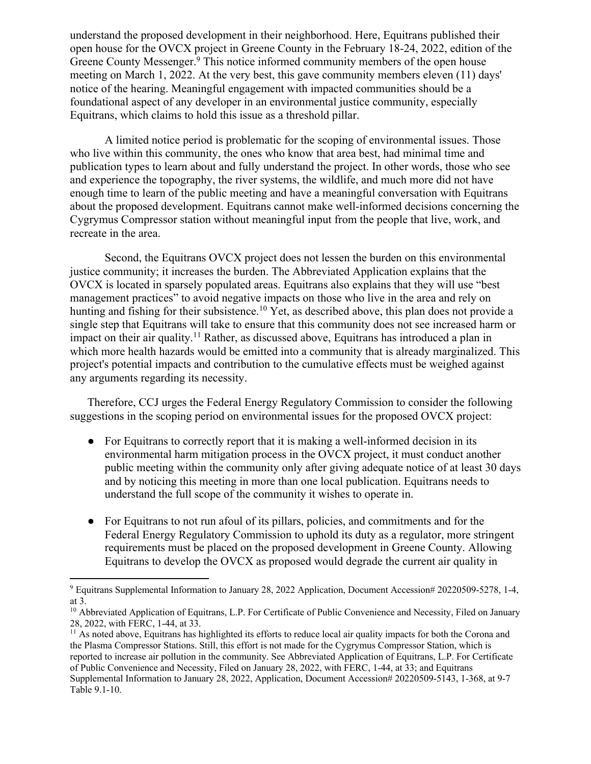understand the proposed development in their neighborhood. Here, Equitrans published their open house for the OVCX project in Greene County in the February 18-24, 2022, edition of the Greene County Messenger.<sup>9</sup> This notice informed community members of the open house meeting on March 1, 2022. At the very best, this gave community members eleven (11) days' notice of the hearing. Meaningful engagement with impacted communities should be a foundational aspect of any developer in an environmental justice community, especially Equitrans, which claims to hold this issue as a threshold pillar.

A limited notice period is problematic for the scoping of environmental issues. Those who live within this community, the ones who know that area best, had minimal time and publication types to learn about and fully understand the project. In other words, those who see and experience the topography, the river systems, the wildlife, and much more did not have enough time to learn of the public meeting and have a meaningful conversation with Equitrans about the proposed development. Equitrans cannot make well-informed decisions concerning the Cygrymus Compressor station without meaningful input from the people that live, work, and recreate in the area.

Second, the Equitrans OVCX project does not lessen the burden on this environmental justice community; it increases the burden. The Abbreviated Application explains that the OVCX is located in sparsely populated areas. Equitrans also explains that they will use "best management practices" to avoid negative impacts on those who live in the area and rely on hunting and fishing for their subsistence.<sup>10</sup> Yet, as described above, this plan does not provide a single step that Equitrans will take to ensure that this community does not see increased harm or impact on their air quality.<sup>11</sup> Rather, as discussed above, Equitrans has introduced a plan in which more health hazards would be emitted into a community that is already marginalized. This project's potential impacts and contribution to the cumulative effects must be weighed against any arguments regarding its necessity.

Therefore, CCJ urges the Federal Energy Regulatory Commission to consider the following suggestions in the scoping period on environmental issues for the proposed OVCX project:

- For Equitrans to correctly report that it is making a well-informed decision in its environmental harm mitigation process in the OVCX project, it must conduct another public meeting within the community only after giving adequate notice of at least 30 days and by noticing this meeting in more than one local publication. Equitrans needs to understand the full scope of the community it wishes to operate in.
- For Equitrans to not run afoul of its pillars, policies, and commitments and for the Federal Energy Regulatory Commission to uphold its duty as a regulator, more stringent requirements must be placed on the proposed development in Greene County. Allowing Equitrans to develop the OVCX as proposed would degrade the current air quality in

<sup>9</sup> Equitrans Supplemental Information to January 28, 2022 Application, Document Accession# 20220509-5278, 1-4, at 3.

<sup>&</sup>lt;sup>10</sup> Abbreviated Application of Equitrans, L.P. For Certificate of Public Convenience and Necessity, Filed on January 28, 2022, with FERC, 1-44, at 33.

 $11$  As noted above, Equitrans has highlighted its efforts to reduce local air quality impacts for both the Corona and the Plasma Compressor Stations. Still, this effort is not made for the Cygrymus Compressor Station, which is reported to increase air pollution in the community. See Abbreviated Application of Equitrans, L.P. For Certificate of Public Convenience and Necessity, Filed on January 28, 2022, with FERC, 1-44, at 33; and Equitrans Supplemental Information to January 28, 2022, Application, Document Accession# 20220509-5143, 1-368, at 9-7 Table 9.1-10.